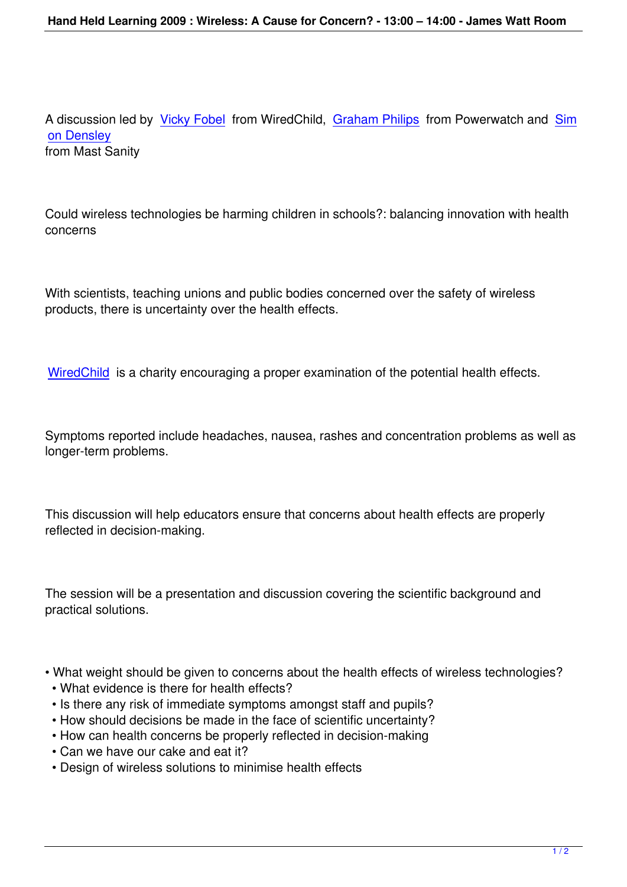A discussion led by Vicky Fobel from WiredChild, Graham Philips from Powerwatch and Sim on Densley from Mast Sanity

Could wireless technologies be harming children in schools?: balancing innovation with health concerns

With scientists, teaching unions and public bodies concerned over the safety of wireless products, there is uncertainty over the health effects.

WiredChild is a charity encouraging a proper examination of the potential health effects.

[Symptoms r](/)eported include headaches, nausea, rashes and concentration problems as well as longer-term problems.

This discussion will help educators ensure that concerns about health effects are properly reflected in decision-making.

The session will be a presentation and discussion covering the scientific background and practical solutions.

- What weight should be given to concerns about the health effects of wireless technologies?
- What evidence is there for health effects?
- Is there any risk of immediate symptoms amongst staff and pupils?
- How should decisions be made in the face of scientific uncertainty?
- How can health concerns be properly reflected in decision-making
- Can we have our cake and eat it?
- Design of wireless solutions to minimise health effects